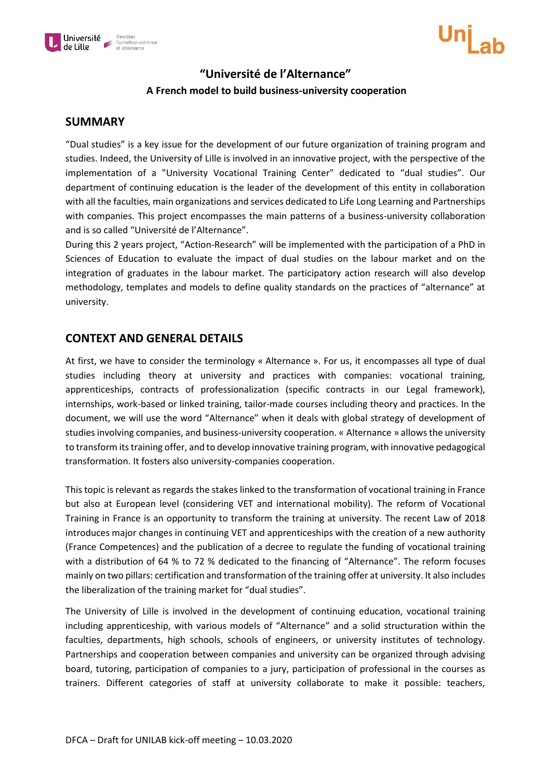

### **"Université de l'Alternance"**

### **A French model to build business-university cooperation**

#### **SUMMARY**

"Dual studies" is a key issue for the development of our future organization of training program and studies. Indeed, the University of Lille is involved in an innovative project, with the perspective of the implementation of a "University Vocational Training Center" dedicated to "dual studies". Our department of continuing education is the leader of the development of this entity in collaboration with all the faculties, main organizations and services dedicated to Life Long Learning and Partnerships with companies. This project encompasses the main patterns of a business-university collaboration and is so called "Université de l'Alternance".

During this 2 years project, "Action-Research" will be implemented with the participation of a PhD in Sciences of Education to evaluate the impact of dual studies on the labour market and on the integration of graduates in the labour market. The participatory action research will also develop methodology, templates and models to define quality standards on the practices of "alternance" at university.

### **CONTEXT AND GENERAL DETAILS**

At first, we have to consider the terminology « Alternance ». For us, it encompasses all type of dual studies including theory at university and practices with companies: vocational training, apprenticeships, contracts of professionalization (specific contracts in our Legal framework), internships, work-based or linked training, tailor-made courses including theory and practices. In the document, we will use the word "Alternance" when it deals with global strategy of development of studies involving companies, and business-university cooperation. « Alternance » allows the university to transform its training offer, and to develop innovative training program, with innovative pedagogical transformation. It fosters also university-companies cooperation.

This topic is relevant as regards the stakes linked to the transformation of vocational training in France but also at European level (considering VET and international mobility). The reform of Vocational Training in France is an opportunity to transform the training at university. The recent Law of 2018 introduces major changes in continuing VET and apprenticeships with the creation of a new authority (France Competences) and the publication of a decree to regulate the funding of vocational training with a distribution of 64 % to 72 % dedicated to the financing of "Alternance". The reform focuses mainly on two pillars: certification and transformation of the training offer at university. It also includes the liberalization of the training market for "dual studies".

The University of Lille is involved in the development of continuing education, vocational training including apprenticeship, with various models of "Alternance" and a solid structuration within the faculties, departments, high schools, schools of engineers, or university institutes of technology. Partnerships and cooperation between companies and university can be organized through advising board, tutoring, participation of companies to a jury, participation of professional in the courses as trainers. Different categories of staff at university collaborate to make it possible: teachers,